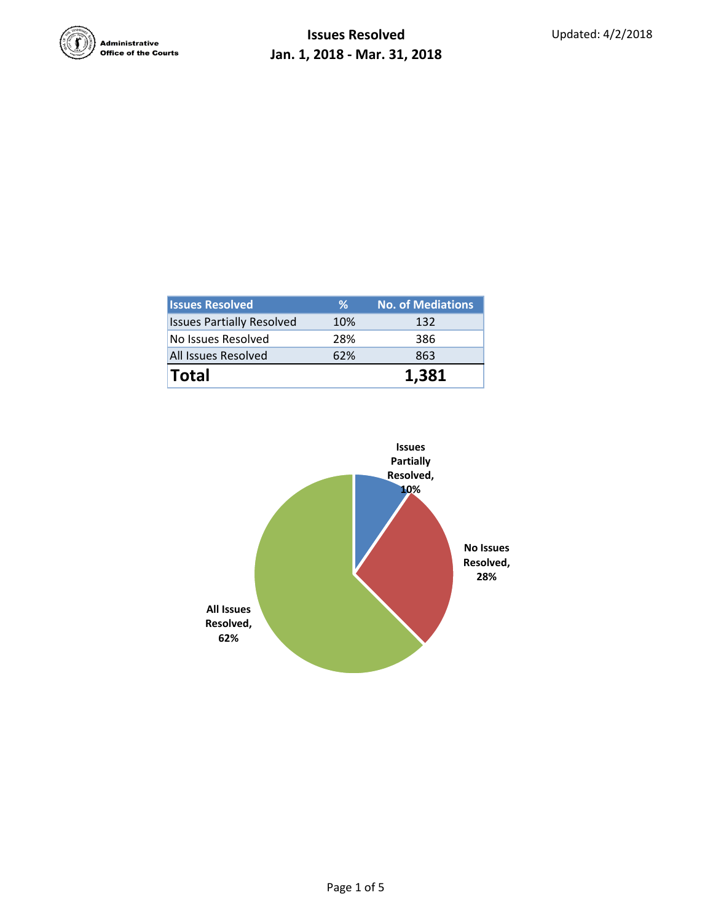

| <b>Issues Resolved</b>           | ℅   | <b>No. of Mediations</b> |  |  |
|----------------------------------|-----|--------------------------|--|--|
| <b>Issues Partially Resolved</b> | 10% | 132                      |  |  |
| No Issues Resolved               | 28% | 386                      |  |  |
| <b>All Issues Resolved</b>       | 62% | 863                      |  |  |
| <b>Total</b>                     |     | 1.381                    |  |  |

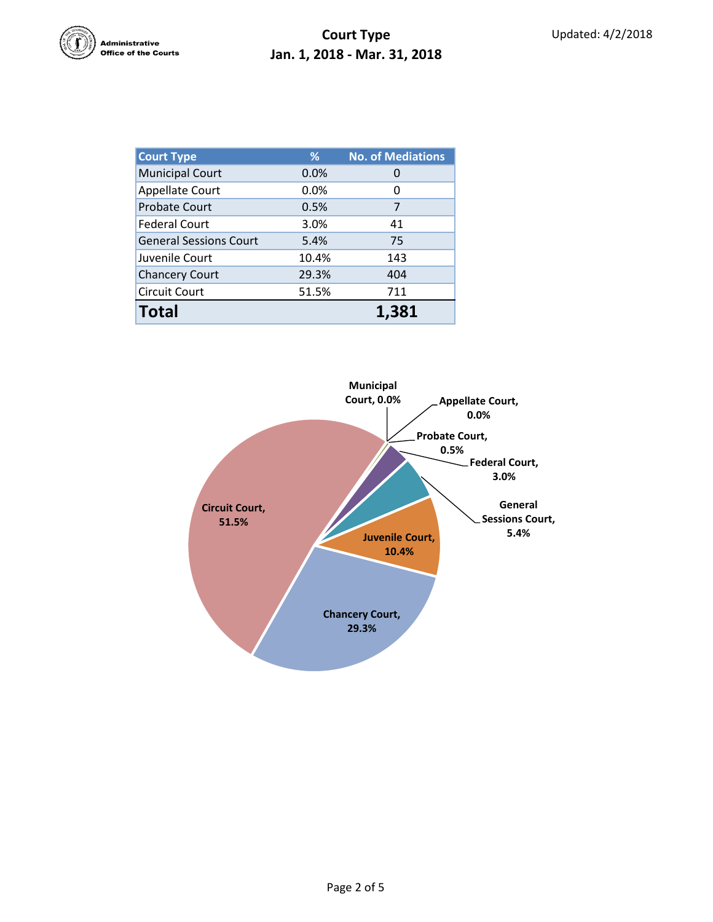

| <b>Court Type</b>             | %     | <b>No. of Mediations</b> |  |  |
|-------------------------------|-------|--------------------------|--|--|
| <b>Municipal Court</b>        | 0.0%  | 0                        |  |  |
| <b>Appellate Court</b>        | 0.0%  | 0                        |  |  |
| <b>Probate Court</b>          | 0.5%  | 7                        |  |  |
| <b>Federal Court</b>          | 3.0%  | 41                       |  |  |
| <b>General Sessions Court</b> | 5.4%  | 75                       |  |  |
| Juvenile Court                | 10.4% | 143                      |  |  |
| <b>Chancery Court</b>         | 29.3% | 404                      |  |  |
| <b>Circuit Court</b>          | 51.5% | 711                      |  |  |
| <b>Total</b>                  |       | 1.381                    |  |  |

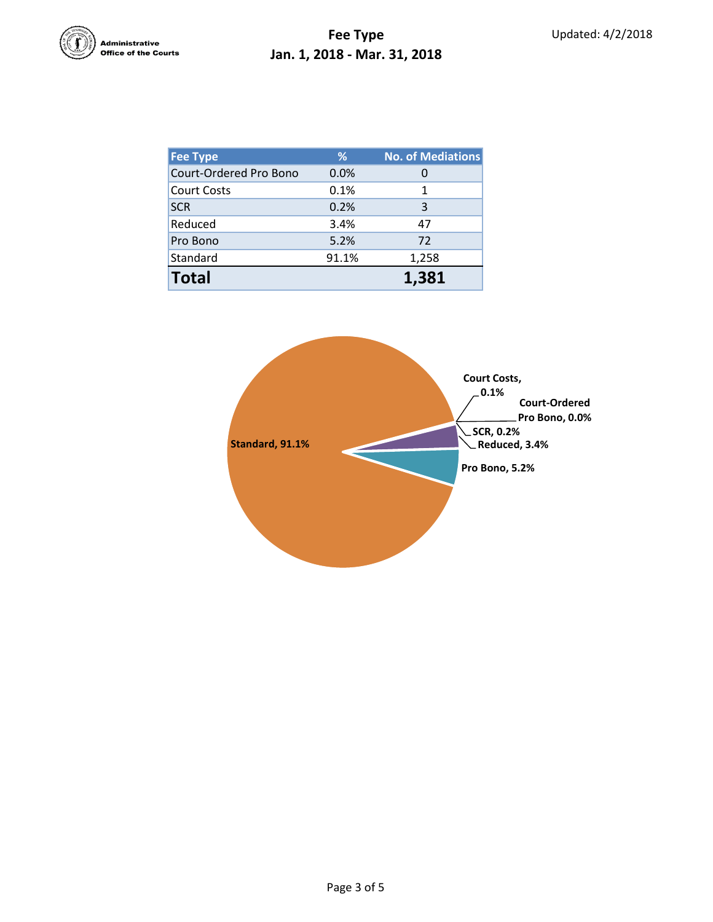

| <b>Fee Type</b>        | %     | <b>No. of Mediations</b> |
|------------------------|-------|--------------------------|
| Court-Ordered Pro Bono | 0.0%  | 0                        |
| <b>Court Costs</b>     | 0.1%  | 1                        |
| <b>SCR</b>             | 0.2%  | 3                        |
| Reduced                | 3.4%  | 47                       |
| Pro Bono               | 5.2%  | 72                       |
| Standard               | 91.1% | 1,258                    |
| <b>Total</b>           |       | 1.381                    |

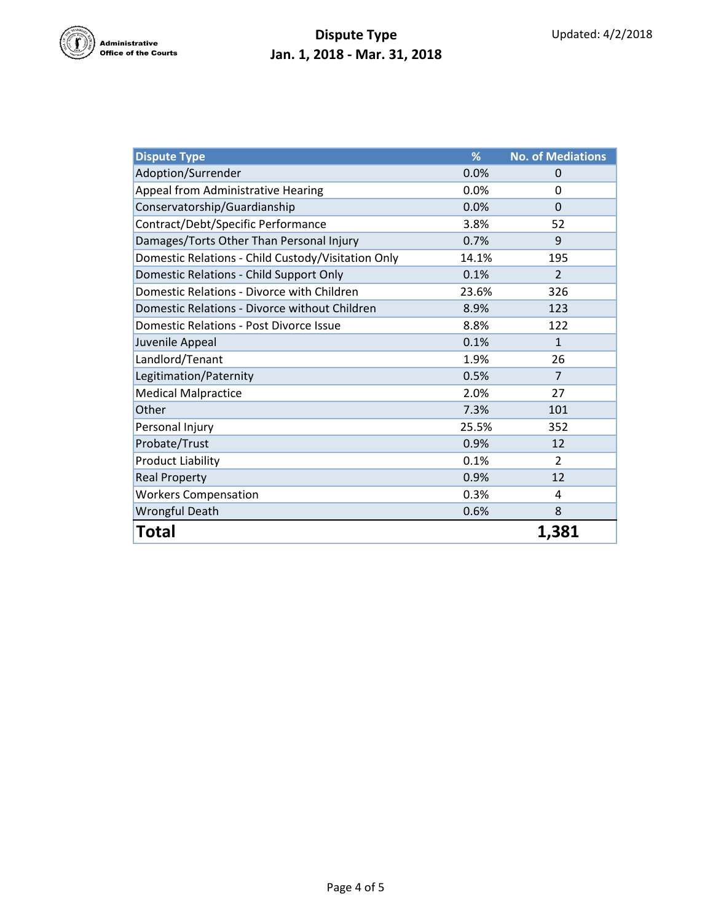

## **Dispute Type Jan. 1, 2018 - Mar. 31, 2018**

| <b>Dispute Type</b>                                | %     | <b>No. of Mediations</b> |
|----------------------------------------------------|-------|--------------------------|
| Adoption/Surrender                                 | 0.0%  | $\Omega$                 |
| Appeal from Administrative Hearing                 | 0.0%  | 0                        |
| Conservatorship/Guardianship                       | 0.0%  | $\Omega$                 |
| Contract/Debt/Specific Performance                 | 3.8%  | 52                       |
| Damages/Torts Other Than Personal Injury           | 0.7%  | 9                        |
| Domestic Relations - Child Custody/Visitation Only | 14.1% | 195                      |
| Domestic Relations - Child Support Only            | 0.1%  | $\overline{2}$           |
| Domestic Relations - Divorce with Children         | 23.6% | 326                      |
| Domestic Relations - Divorce without Children      | 8.9%  | 123                      |
| <b>Domestic Relations - Post Divorce Issue</b>     | 8.8%  | 122                      |
| Juvenile Appeal                                    | 0.1%  | $\mathbf{1}$             |
| Landlord/Tenant                                    | 1.9%  | 26                       |
| Legitimation/Paternity                             | 0.5%  | $\overline{7}$           |
| <b>Medical Malpractice</b>                         | 2.0%  | 27                       |
| Other                                              | 7.3%  | 101                      |
| Personal Injury                                    | 25.5% | 352                      |
| Probate/Trust                                      | 0.9%  | 12                       |
| <b>Product Liability</b>                           | 0.1%  | $\overline{2}$           |
| <b>Real Property</b>                               | 0.9%  | 12                       |
| <b>Workers Compensation</b>                        | 0.3%  | 4                        |
| <b>Wrongful Death</b>                              | 0.6%  | 8                        |
| Total                                              |       | 1,381                    |